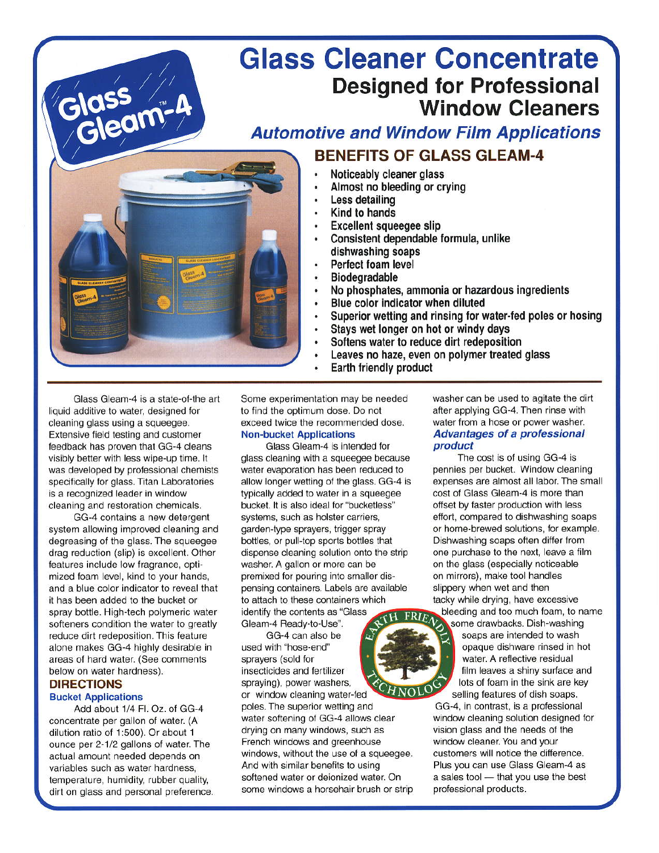# **Glass Cleaner Concentrate Designed for Professional Window Cleaners**

# **Automotive and Window Film Applications BENEFITS OF GLASS GLEAM-4**



# Noticeably cleaner glass

- Almost no bleeding or crying
- Less detailing
- Kind to hands
- **Excellent squeegee slip**
- Consistent dependable formula, unlike dishwashing soaps
- Perfect foam level
- Biodegradable
- No phosphates, ammonia or hazardous ingredients
- Blue color indicator when diluted
- Superior wetting and rinsing for water-fed poles or hosing
- Stavs wet longer on hot or windy days
- Softens water to reduce dirt redeposition
- Leaves no haze, even on polymer treated glass
- Earth friendly product

Glass Gleam-4 is a state-of-the art liquid additive to water, designed for cleaning glass using a squeegee. Extensive field testing and customer feedback has proven that GG-4 cleans visibly better with less wipe-up time. It was developed by professional chemists specifically for glass. Titan Laboratories is a recognized leader in window cleaning and restoration chemicals.

GG-4 contains a new detergent system allowing improved cleaning and degreasing of the glass. The squeegee drag reduction (slip) is excellent. Other features include low fragrance, optimized foam level, kind to your hands, and a blue color indicator to reveal that it has been added to the bucket or spray bottle. High-tech polymeric water softeners condition the water to greatly reduce dirt redeposition. This feature alone makes GG-4 highly desirable in areas of hard water. (See comments below on water hardness).

# **DIRECTIONS Bucket Applications**

Add about 1/4 Fl. Oz. of GG-4 concentrate per gallon of water. (A dilution ratio of 1:500). Or about 1 ounce per 2-1/2 gallons of water. The actual amount needed depends on variables such as water hardness, temperature, humidity, rubber quality, dirt on glass and personal preference.

Some experimentation may be needed to find the optimum dose. Do not exceed twice the recommended dose. **Non-bucket Applications** 

Glass Gleam-4 is intended for glass cleaning with a squeegee because water evaporation has been reduced to allow longer wetting of the glass. GG-4 is typically added to water in a squeeqee bucket. It is also ideal for "bucketless" systems, such as holster carriers, garden-type sprayers, trigger spray bottles, or pull-top sports bottles that dispense cleaning solution onto the strip washer. A gallon or more can be premixed for pouring into smaller dispensing containers. Labels are available to attach to these containers which identify the contents as "Glass

Gleam-4 Ready-to-Use". GG-4 can also be used with "hose-end"

sprayers (sold for insecticides and fertilizer spraying), power washers, or window cleaning water-fed

poles. The superior wetting and water softening of GG-4 allows clear drying on many windows, such as French windows and greenhouse windows, without the use of a squeegee. And with similar benefits to using softened water or deionized water. On some windows a horsehair brush or strip

washer can be used to agitate the dirt after applying GG-4. Then rinse with water from a hose or power washer. **Advantages of a professional** product

The cost is of using GG-4 is pennies per bucket. Window cleaning expenses are almost all labor. The small cost of Glass Gleam-4 is more than offset by faster production with less effort, compared to dishwashing soaps or home-brewed solutions, for example. Dishwashing soaps often differ from one purchase to the next, leave a film on the glass (especially noticeable on mirrors), make tool handles slippery when wet and then tacky while drying, have excessive bleeding and too much foam, to name

some drawbacks. Dish-washing soaps are intended to wash opaque dishware rinsed in hot water. A reflective residual film leaves a shiny surface and lots of foam in the sink are key selling features of dish soaps.

GG-4, in contrast, is a professional window cleaning solution designed for vision glass and the needs of the window cleaner. You and your customers will notice the difference. Plus you can use Glass Gleam-4 as a sales tool - that you use the best professional products.